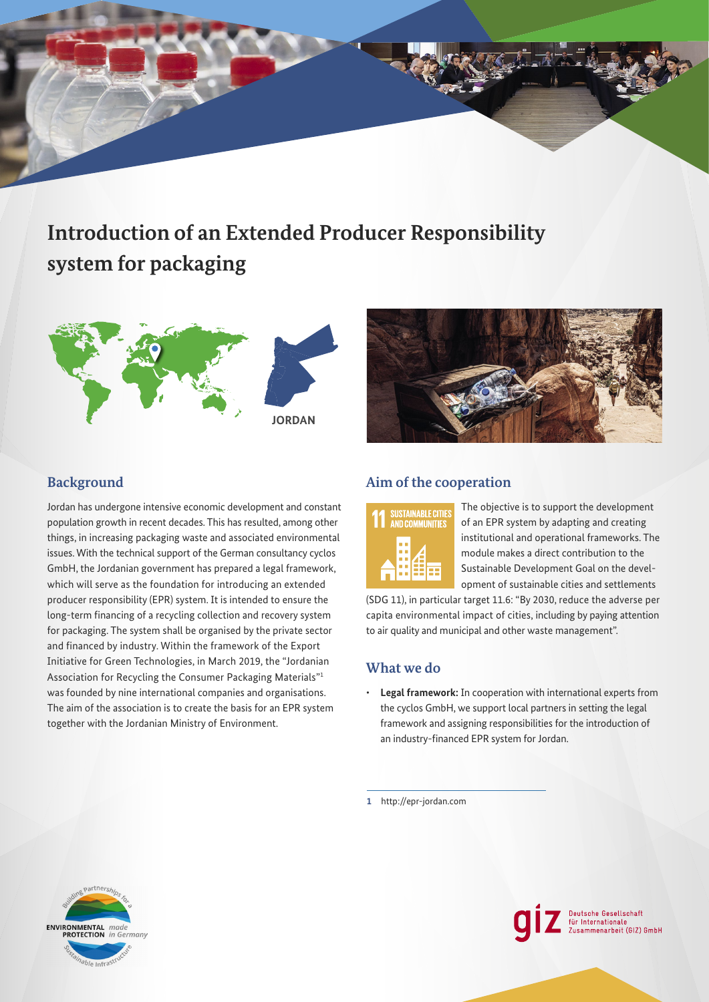# **Introduction of an Extended Producer Responsibility system for packaging**





# **Background**

Jordan has undergone intensive economic development and constant population growth in recent decades. This has resulted, among other things, in increasing packaging waste and associated environmental issues. With the technical support of the German consultancy cyclos GmbH, the Jordanian government has prepared a legal framework, which will serve as the foundation for introducing an extended producer responsibility (EPR) system. It is intended to ensure the long-term financing of a recycling collection and recovery system for packaging. The system shall be organised by the private sector and financed by industry. Within the framework of the Export Initiative for Green Technologies, in March 2019, the "Jordanian Association for Recycling the Consumer Packaging Materials"<sup>1</sup> was founded by nine international companies and organisations. The aim of the association is to create the basis for an EPR system together with the Jordanian Ministry of Environment.

# **Aim of the cooperation**



The objective is to support the development of an EPR system by adapting and creating institutional and operational frameworks. The module makes a direct contribution to the Sustainable Development Goal on the development of sustainable cities and settlements

(SDG 11), in particular target 11.6: "By 2030, reduce the adverse per capita environmental impact of cities, including by paying attention to air quality and municipal and other waste management".

## **What we do**

• **Legal framework:** In cooperation with international experts from the cyclos GmbH, we support local partners in setting the legal framework and assigning responsibilities for the introduction of an industry-fnanced EPR system for Jordan.

**1** <http://epr-jordan.com>